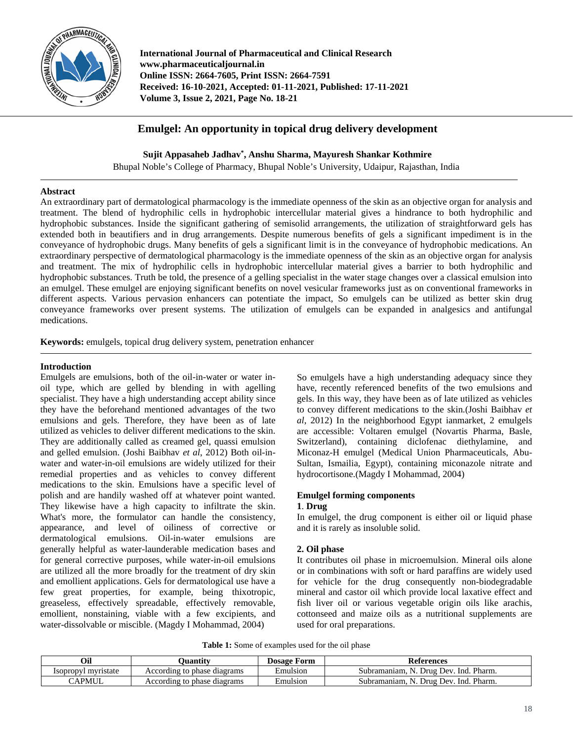

**International Journal of Pharmaceutical and Clinical Research www.pharmaceuticaljournal.in Online ISSN: 2664-7605, Print ISSN: 2664-7591 Received: 16-10-2021, Accepted: 01-11-2021, Published: 17-11-2021 Volume 3, Issue 2, 2021, Page No. 18-21**

# **Emulgel: An opportunity in topical drug delivery development**

**Sujit Appasaheb Jadhav\* , Anshu Sharma, Mayuresh Shankar Kothmire**

Bhupal Noble's College of Pharmacy, Bhupal Noble's University, Udaipur, Rajasthan, India

### **Abstract**

An extraordinary part of dermatological pharmacology is the immediate openness of the skin as an objective organ for analysis and treatment. The blend of hydrophilic cells in hydrophobic intercellular material gives a hindrance to both hydrophilic and hydrophobic substances. Inside the significant gathering of semisolid arrangements, the utilization of straightforward gels has extended both in beautifiers and in drug arrangements. Despite numerous benefits of gels a significant impediment is in the conveyance of hydrophobic drugs. Many benefits of gels a significant limit is in the conveyance of hydrophobic medications. An extraordinary perspective of dermatological pharmacology is the immediate openness of the skin as an objective organ for analysis and treatment. The mix of hydrophilic cells in hydrophobic intercellular material gives a barrier to both hydrophilic and hydrophobic substances. Truth be told, the presence of a gelling specialist in the water stage changes over a classical emulsion into an emulgel. These emulgel are enjoying significant benefits on novel vesicular frameworks just as on conventional frameworks in different aspects. Various pervasion enhancers can potentiate the impact, So emulgels can be utilized as better skin drug conveyance frameworks over present systems. The utilization of emulgels can be expanded in analgesics and antifungal medications.

**Keywords:** emulgels, topical drug delivery system, penetration enhancer

### **Introduction**

Emulgels are emulsions, both of the oil-in-water or water inoil type, which are gelled by blending in with agelling specialist. They have a high understanding accept ability since they have the beforehand mentioned advantages of the two emulsions and gels. Therefore, they have been as of late utilized as vehicles to deliver different medications to the skin. They are additionally called as creamed gel, quassi emulsion and gelled emulsion. (Joshi Baibhav *et al*, 2012) Both oil-inwater and water-in-oil emulsions are widely utilized for their remedial properties and as vehicles to convey different medications to the skin. Emulsions have a specific level of polish and are handily washed off at whatever point wanted. They likewise have a high capacity to infiltrate the skin. What's more, the formulator can handle the consistency, appearance, and level of oiliness of corrective or dermatological emulsions. Oil-in-water emulsions are generally helpful as water-launderable medication bases and for general corrective purposes, while water-in-oil emulsions are utilized all the more broadly for the treatment of dry skin and emollient applications. Gels for dermatological use have a few great properties, for example, being thixotropic, greaseless, effectively spreadable, effectively removable, emollient, nonstaining, viable with a few excipients, and water-dissolvable or miscible. (Magdy I Mohammad, 2004)

So emulgels have a high understanding adequacy since they have, recently referenced benefits of the two emulsions and gels. In this way, they have been as of late utilized as vehicles to convey different medications to the skin.(Joshi Baibhav *et al*, 2012) In the neighborhood Egypt ianmarket, 2 emulgels are accessible: Voltaren emulgel (Novartis Pharma, Basle, Switzerland), containing diclofenac diethylamine, and Miconaz-H emulgel (Medical Union Pharmaceuticals, Abu-Sultan, Ismailia, Egypt), containing miconazole nitrate and hydrocortisone.(Magdy I Mohammad, 2004)

# **Emulgel forming components**

#### **1**. **Drug**

In emulgel, the drug component is either oil or liquid phase and it is rarely as insoluble solid.

## **2. Oil phase**

It contributes oil phase in microemulsion. Mineral oils alone or in combinations with soft or hard paraffins are widely used for vehicle for the drug consequently non-biodegradable mineral and castor oil which provide local laxative effect and fish liver oil or various vegetable origin oils like arachis, cottonseed and maize oils as a nutritional supplements are used for oral preparations.

**Table 1:** Some of examples used for the oil phase

| Oil                 | <b>)</b> uantitv            | <b>Dosage Form</b> | References                            |
|---------------------|-----------------------------|--------------------|---------------------------------------|
| Isopropyl myristate | According to phase diagrams | Emulsion           | Subramaniam, N. Drug Dev. Ind. Pharm. |
| <b>CAPMUL</b>       | According to phase diagrams | Emulsion           | Subramaniam, N. Drug Dev. Ind. Pharm. |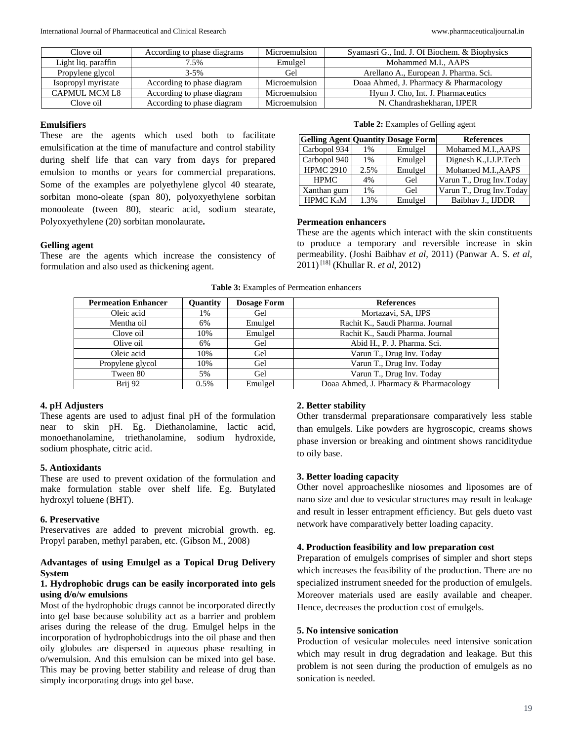| Clove oil           | According to phase diagrams | Microemulsion | Syamasri G., Ind. J. Of Biochem. & Biophysics |
|---------------------|-----------------------------|---------------|-----------------------------------------------|
| Light liq. paraffin | $.5\%$                      | Emulgel       | Mohammed M.I., AAPS                           |
| Propylene glycol    | $3 - 5\%$                   | Gel           | Arellano A., European J. Pharma. Sci.         |
| Isopropyl myristate | According to phase diagram  | Microemulsion | Doaa Ahmed, J. Pharmacy & Pharmacology        |
| CAPMUL MCM L8       | According to phase diagram  | Microemulsion | Hyun J. Cho, Int. J. Pharmaceutics            |
| Clove oil           | According to phase diagram  | Microemulsion | N. Chandrashekharan, IJPER                    |

### **Emulsifiers**

These are the agents which used both to facilitate emulsification at the time of manufacture and control stability during shelf life that can vary from days for prepared emulsion to months or years for commercial preparations. Some of the examples are polyethylene glycol 40 stearate, sorbitan mono-oleate (span 80), polyoxyethylene sorbitan monooleate (tween 80), stearic acid, sodium stearate, Polyoxyethylene (20) sorbitan monolaurate**.**

#### **Gelling agent**

These are the agents which increase the consistency of formulation and also used as thickening agent.

#### **Table 2:** Examples of Gelling agent

| <b>Gelling Agent Quantity Dosage Form</b> |       |         | <b>References</b>         |
|-------------------------------------------|-------|---------|---------------------------|
| Carbopol 934                              | 1%    | Emulgel | Mohamed M.I., AAPS        |
| Carbopol 940                              | $1\%$ | Emulgel | Dignesh K., I.J.P. Tech   |
| <b>HPMC 2910</b>                          | 2.5%  | Emulgel | Mohamed M.I., AAPS        |
| <b>HPMC</b>                               | 4%    | Gel     | Varun T., Drug Inv. Today |
| Xanthan gum                               | 1%    | Gel     | Varun T., Drug Inv.Today  |
| HPMC K <sub>4</sub> M                     | 1.3%  | Emulgel | Baibhav J., IJDDR         |

#### **Permeation enhancers**

These are the agents which interact with the skin constituents to produce a temporary and reversible increase in skin permeability. (Joshi Baibhav *et al*, 2011) (Panwar A. S. *et al*, 2011)[18] (Khullar R. *et al*, 2012)

|  |  | <b>Table 3:</b> Examples of Permeation enhancers |  |
|--|--|--------------------------------------------------|--|
|--|--|--------------------------------------------------|--|

| <b>Permeation Enhancer</b> | Quantity | <b>Dosage Form</b> | <b>References</b>                      |
|----------------------------|----------|--------------------|----------------------------------------|
| Oleic acid                 | 1%       | Gel                | Mortazavi, SA, IJPS                    |
| Mentha oil                 | 6%       | Emulgel            | Rachit K., Saudi Pharma. Journal       |
| Clove oil                  | 10%      | Emulgel            | Rachit K., Saudi Pharma. Journal       |
| Olive oil                  | 6%       | Gel                | Abid H., P. J. Pharma. Sci.            |
| Oleic acid                 | 10%      | Gel                | Varun T., Drug Inv. Today              |
| Propylene glycol           | 10%      | Gel                | Varun T., Drug Inv. Today              |
| Tween 80                   | 5%       | Gel                | Varun T., Drug Inv. Today              |
| Brij 92                    | 0.5%     | Emulgel            | Doaa Ahmed, J. Pharmacy & Pharmacology |

### **4. pH Adjusters**

These agents are used to adjust final pH of the formulation near to skin pH. Eg. Diethanolamine, lactic acid, monoethanolamine, triethanolamine, sodium hydroxide, sodium phosphate, citric acid.

#### **5. Antioxidants**

These are used to prevent oxidation of the formulation and make formulation stable over shelf life. Eg. Butylated hydroxyl toluene (BHT).

#### **6. Preservative**

Preservatives are added to prevent microbial growth. eg. Propyl paraben, methyl paraben, etc. (Gibson M., 2008)

### **Advantages of using Emulgel as a Topical Drug Delivery System**

#### **1. Hydrophobic drugs can be easily incorporated into gels using d/o/w emulsions**

Most of the hydrophobic drugs cannot be incorporated directly into gel base because solubility act as a barrier and problem arises during the release of the drug. Emulgel helps in the incorporation of hydrophobicdrugs into the oil phase and then oily globules are dispersed in aqueous phase resulting in o/wemulsion. And this emulsion can be mixed into gel base. This may be proving better stability and release of drug than simply incorporating drugs into gel base.

#### **2. Better stability**

Other transdermal preparationsare comparatively less stable than emulgels. Like powders are hygroscopic, creams shows phase inversion or breaking and ointment shows ranciditydue to oily base.

#### **3. Better loading capacity**

Other novel approacheslike niosomes and liposomes are of nano size and due to vesicular structures may result in leakage and result in lesser entrapment efficiency. But gels dueto vast network have comparatively better loading capacity.

#### **4. Production feasibility and low preparation cost**

Preparation of emulgels comprises of simpler and short steps which increases the feasibility of the production. There are no specialized instrument sneeded for the production of emulgels. Moreover materials used are easily available and cheaper. Hence, decreases the production cost of emulgels.

#### **5. No intensive sonication**

Production of vesicular molecules need intensive sonication which may result in drug degradation and leakage. But this problem is not seen during the production of emulgels as no sonication is needed.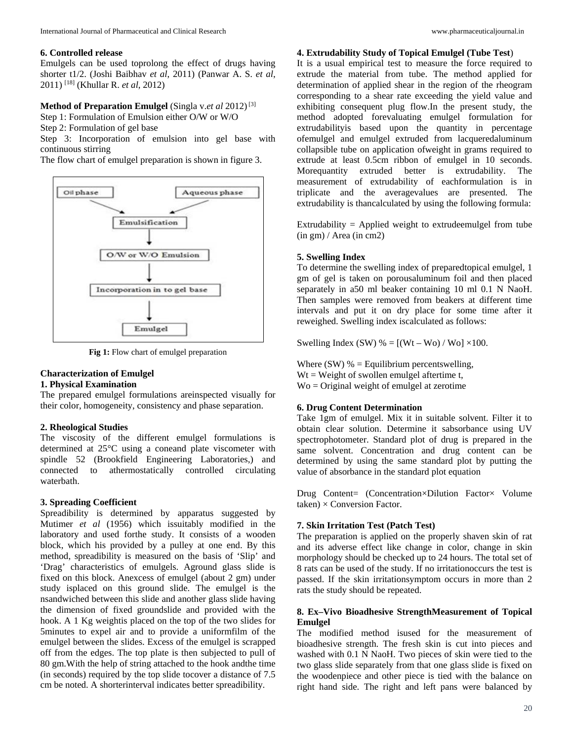### **6. Controlled release**

Emulgels can be used toprolong the effect of drugs having shorter t1/2. (Joshi Baibhav *et al*, 2011) (Panwar A. S. *et al*, 2011) [18] (Khullar R. *et al*, 2012)

## **Method of Preparation Emulgel** (Singla v.*et al* 2012)[3]

Step 1: Formulation of Emulsion either O/W or W/O

Step 2: Formulation of gel base

Step 3: Incorporation of emulsion into gel base with continuous stirring

The flow chart of emulgel preparation is shown in figure 3.



**Fig 1:** Flow chart of emulgel preparation

## **Characterization of Emulgel**

### **1. Physical Examination**

The prepared emulgel formulations areinspected visually for their color, homogeneity, consistency and phase separation.

#### **2. Rheological Studies**

The viscosity of the different emulgel formulations is determined at 25°C using a coneand plate viscometer with spindle 52 (Brookfield Engineering Laboratories,) and connected to athermostatically controlled circulating waterbath.

#### **3. Spreading Coefficient**

Spreadibility is determined by apparatus suggested by Mutimer *et al* (1956) which issuitably modified in the laboratory and used forthe study. It consists of a wooden block, which his provided by a pulley at one end. By this method, spreadibility is measured on the basis of 'Slip' and 'Drag' characteristics of emulgels. Aground glass slide is fixed on this block. Anexcess of emulgel (about 2 gm) under study isplaced on this ground slide. The emulgel is the nsandwiched between this slide and another glass slide having the dimension of fixed groundslide and provided with the hook. A 1 Kg weightis placed on the top of the two slides for 5minutes to expel air and to provide a uniformfilm of the emulgel between the slides. Excess of the emulgel is scrapped off from the edges. The top plate is then subjected to pull of 80 gm.With the help of string attached to the hook andthe time (in seconds) required by the top slide tocover a distance of 7.5 cm be noted. A shorterinterval indicates better spreadibility.

#### **4. Extrudability Study of Topical Emulgel (Tube Test**)

It is a usual empirical test to measure the force required to extrude the material from tube. The method applied for determination of applied shear in the region of the rheogram corresponding to a shear rate exceeding the yield value and exhibiting consequent plug flow.In the present study, the method adopted forevaluating emulgel formulation for extrudabilityis based upon the quantity in percentage ofemulgel and emulgel extruded from lacqueredaluminum collapsible tube on application ofweight in grams required to extrude at least 0.5cm ribbon of emulgel in 10 seconds. Morequantity extruded better is extrudability. The measurement of extrudability of eachformulation is in triplicate and the averagevalues are presented. The extrudability is thancalculated by using the following formula:

Extrudability = Applied weight to extrudeemulgel from tube (in gm) / Area (in cm2)

### **5. Swelling Index**

To determine the swelling index of preparedtopical emulgel, 1 gm of gel is taken on porousaluminum foil and then placed separately in a50 ml beaker containing 10 ml 0.1 N NaoH. Then samples were removed from beakers at different time intervals and put it on dry place for some time after it reweighed. Swelling index iscalculated as follows:

Swelling Index (SW) % =  $[(Wt - Wo) / Wo] \times 100$ .

Where (SW)  $% =$  Equilibrium percentswelling,  $Wt = Weight of a subplane model is a *th* term.$ Wo = Original weight of emulgel at zerotime

#### **6. Drug Content Determination**

Take 1gm of emulgel. Mix it in suitable solvent. Filter it to obtain clear solution. Determine it sabsorbance using UV spectrophotometer. Standard plot of drug is prepared in the same solvent. Concentration and drug content can be determined by using the same standard plot by putting the value of absorbance in the standard plot equation

Drug Content= (Concentration×Dilution Factor× Volume  $taken$ ) × Conversion Factor.

## **7. Skin Irritation Test (Patch Test)**

The preparation is applied on the properly shaven skin of rat and its adverse effect like change in color, change in skin morphology should be checked up to 24 hours. The total set of 8 rats can be used of the study. If no irritationoccurs the test is passed. If the skin irritationsymptom occurs in more than 2 rats the study should be repeated.

### **8. Ex–Vivo Bioadhesive StrengthMeasurement of Topical Emulgel**

The modified method isused for the measurement of bioadhesive strength. The fresh skin is cut into pieces and washed with 0.1 N NaoH. Two pieces of skin were tied to the two glass slide separately from that one glass slide is fixed on the woodenpiece and other piece is tied with the balance on right hand side. The right and left pans were balanced by